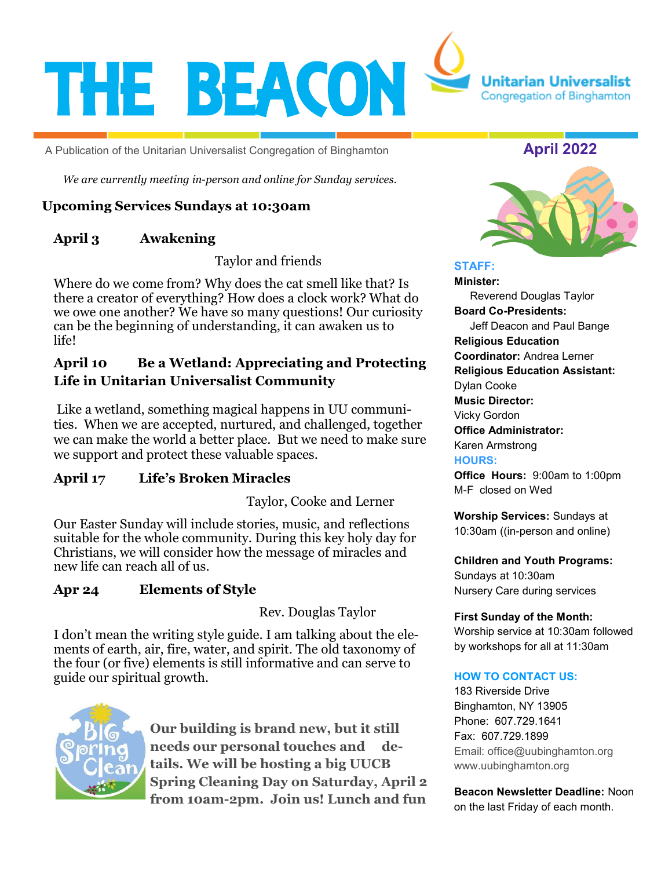

A Publication of the Unitarian Universalist Congregation of Binghamton **Alleman April 2022** 

*We are currently meeting in-person and online for Sunday services.*

# **Upcoming Services Sundays at 10:30am**

# **April 3 Awakening**

Taylor and friends

Where do we come from? Why does the cat smell like that? Is there a creator of everything? How does a clock work? What do we owe one another? We have so many questions! Our curiosity can be the beginning of understanding, it can awaken us to life!

# **April 10 Be a Wetland: Appreciating and Protecting Life in Unitarian Universalist Community**

Like a wetland, something magical happens in UU communities. When we are accepted, nurtured, and challenged, together we can make the world a better place. But we need to make sure we support and protect these valuable spaces.

# **April 17 Life's Broken Miracles**

Taylor, Cooke and Lerner

Our Easter Sunday will include stories, music, and reflections suitable for the whole community. During this key holy day for Christians, we will consider how the message of miracles and new life can reach all of us.

# **Apr 24 Elements of Style**

Rev. Douglas Taylor

I don't mean the writing style guide. I am talking about the elements of earth, air, fire, water, and spirit. The old taxonomy of the four (or five) elements is still informative and can serve to guide our spiritual growth.



**Our building is brand new, but it still needs our personal touches and details. We will be hosting a big UUCB Spring Cleaning Day on Saturday, April 2 from 10am-2pm. Join us! Lunch and fun** 



#### **STAFF:**

**Minister:** Reverend Douglas Taylor **Board Co-Presidents:** Jeff Deacon and Paul Bange **Religious Education Coordinator:** Andrea Lerner **Religious Education Assistant:**  Dylan Cooke **Music Director:** Vicky Gordon **Office Administrator:**  Karen Armstrong **HOURS: Office Hours:** 9:00am to 1:00pm M-F closed on Wed

**Worship Services:** Sundays at 10:30am ((in-person and online)

**Children and Youth Programs:**  Sundays at 10:30am Nursery Care during services

**First Sunday of the Month:**  Worship service at 10:30am followed by workshops for all at 11:30am

#### **HOW TO CONTACT US:**

183 Riverside Drive Binghamton, NY 13905 Phone: 607.729.1641 Fax: 607.729.1899 Email: office@uubinghamton.org www.uubinghamton.org

**Beacon Newsletter Deadline:** Noon on the last Friday of each month.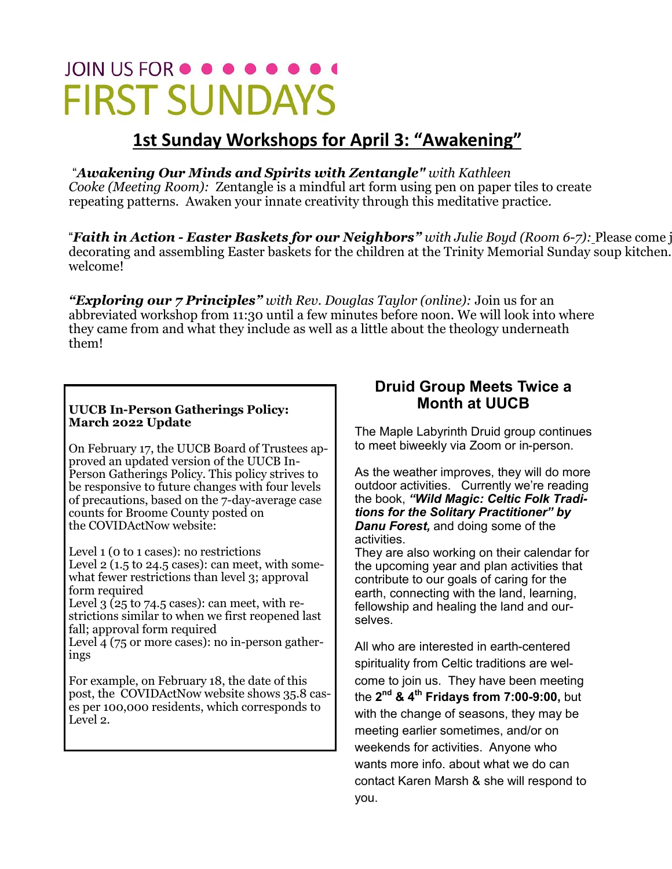# JOIN US FOR  $\bullet \bullet \bullet \bullet \bullet \bullet$ **FIRST SUNDAYS**

# **1st Sunday Workshops for April 3: "Awakening"**

# "*Awakening Our Minds and Spirits with Zentangle" with Kathleen*

*Cooke (Meeting Room):* Zentangle is a mindful art form using pen on paper tiles to create repeating patterns. Awaken your innate creativity through this meditative practice.

"*Faith in Action - Easter Baskets for our Neighbors" with Julie Boyd (Room 6-7):* Please come join decorating and assembling Easter baskets for the children at the Trinity Memorial Sunday soup kitchen. welcome!

*"Exploring our 7 Principles" with Rev. Douglas Taylor (online):* Join us for an abbreviated workshop from 11:30 until a few minutes before noon. We will look into where they came from and what they include as well as a little about the theology underneath them!

#### **UUCB In-Person Gatherings Policy: March 2022 Update**

On February 17, the UUCB Board of Trustees approved an updated version of the UUCB In-Person Gatherings Policy. This policy strives to be responsive to future changes with four levels of precautions, based on the 7-day-average case counts for Broome County posted on the COVIDActNow website:

Level 1 (0 to 1 cases): no restrictions Level 2 (1.5 to 24.5 cases): can meet, with somewhat fewer restrictions than level 3; approval form required

Level  $3$  (25 to 74.5 cases): can meet, with restrictions similar to when we first reopened last fall; approval form required

Level  $\overline{4}$  (75 or more cases): no in-person gatherings

For example, on February 18, the date of this post, the COVIDActNow website shows 35.8 cases per 100,000 residents, which corresponds to Level 2.

# **Druid Group Meets Twice a Month at UUCB**

The Maple Labyrinth Druid group continues to meet biweekly via Zoom or in-person.

As the weather improves, they will do more outdoor activities. Currently we're reading the book, *"Wild Magic: Celtic Folk Traditions for the Solitary Practitioner" by Danu Forest,* and doing some of the activities.

They are also working on their calendar for the upcoming year and plan activities that contribute to our goals of caring for the earth, connecting with the land, learning, fellowship and healing the land and ourselves.

All who are interested in earth-centered spirituality from Celtic traditions are welcome to join us. They have been meeting the **2 nd & 4th Fridays from 7:00-9:00,** but with the change of seasons, they may be meeting earlier sometimes, and/or on weekends for activities. Anyone who wants more info. about what we do can contact Karen Marsh & she will respond to you.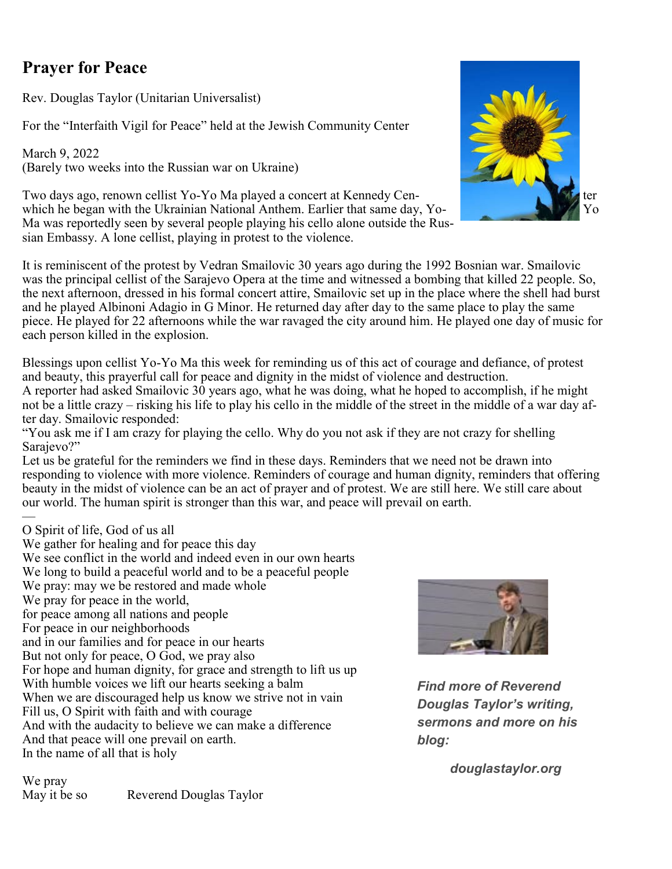# **Prayer for Peace**

Rev. Douglas Taylor (Unitarian Universalist)

For the "Interfaith Vigil for Peace" held at the Jewish Community Center

March 9, 2022 (Barely two weeks into the Russian war on Ukraine)

Two days ago, renown cellist Yo-Yo Ma played a concert at Kennedy Cenwhich he began with the Ukrainian National Anthem. Earlier that same day, Yo-Ma was reportedly seen by several people playing his cello alone outside the Russian Embassy. A lone cellist, playing in protest to the violence.



It is reminiscent of the protest by Vedran Smailovic 30 years ago during the 1992 Bosnian war. Smailovic was the principal cellist of the Sarajevo Opera at the time and witnessed a bombing that killed 22 people. So, the next afternoon, dressed in his formal concert attire, Smailovic set up in the place where the shell had burst and he played Albinoni Adagio in G Minor. He returned day after day to the same place to play the same piece. He played for 22 afternoons while the war ravaged the city around him. He played one day of music for each person killed in the explosion.

Blessings upon cellist Yo-Yo Ma this week for reminding us of this act of courage and defiance, of protest and beauty, this prayerful call for peace and dignity in the midst of violence and destruction. A reporter had asked Smailovic 30 years ago, what he was doing, what he hoped to accomplish, if he might not be a little crazy – risking his life to play his cello in the middle of the street in the middle of a war day after day. Smailovic responded:

"You ask me if I am crazy for playing the cello. Why do you not ask if they are not crazy for shelling Sarajevo?"

Let us be grateful for the reminders we find in these days. Reminders that we need not be drawn into responding to violence with more violence. Reminders of courage and human dignity, reminders that offering beauty in the midst of violence can be an act of prayer and of protest. We are still here. We still care about our world. The human spirit is stronger than this war, and peace will prevail on earth.

 $\overline{\phantom{a}}$ O Spirit of life, God of us all

We gather for healing and for peace this day We see conflict in the world and indeed even in our own hearts We long to build a peaceful world and to be a peaceful people We pray: may we be restored and made whole We pray for peace in the world, for peace among all nations and people For peace in our neighborhoods and in our families and for peace in our hearts But not only for peace, O God, we pray also For hope and human dignity, for grace and strength to lift us up With humble voices we lift our hearts seeking a balm When we are discouraged help us know we strive not in vain Fill us, O Spirit with faith and with courage And with the audacity to believe we can make a difference And that peace will one prevail on earth. In the name of all that is holy

*Find more of Reverend Douglas Taylor's writing, sermons and more on his blog:*

*douglastaylor.org*

We pray May it be so Reverend Douglas Taylor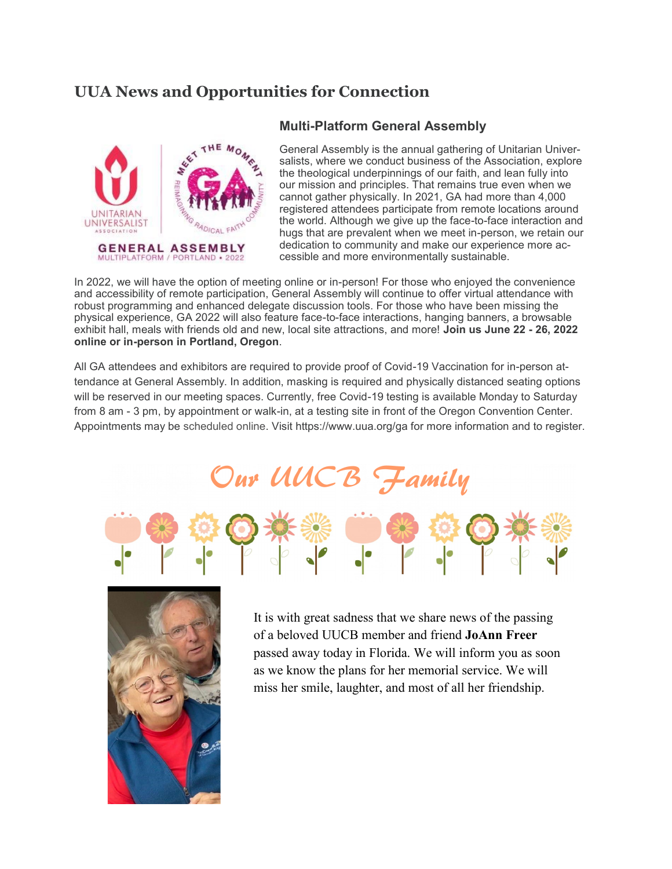# **UUA News and Opportunities for Connection**



#### **Multi-Platform General Assembly**

General Assembly is the annual gathering of Unitarian Universalists, where we conduct business of the Association, explore the theological underpinnings of our faith, and lean fully into our mission and principles. That remains true even when we cannot gather physically. In 2021, GA had more than 4,000 registered attendees participate from remote locations around the world. Although we give up the face-to-face interaction and hugs that are prevalent when we meet in-person, we retain our dedication to community and make our experience more accessible and more environmentally sustainable.

In 2022, we will have the option of meeting online or in-person! For those who enjoyed the convenience and accessibility of remote participation, General Assembly will continue to offer virtual attendance with robust programming and enhanced delegate discussion tools. For those who have been missing the physical experience, GA 2022 will also feature face-to-face interactions, hanging banners, a browsable exhibit hall, meals with friends old and new, local site attractions, and more! **Join us June 22 - 26, 2022 online or in-person in Portland, Oregon**.

All GA attendees and exhibitors are required to provide proof of Covid-19 Vaccination for in-person attendance at General Assembly. In addition, masking is required and physically distanced seating options will be reserved in our meeting spaces. Currently, free Covid-19 testing is available Monday to Saturday from 8 am - 3 pm, by appointment or walk-in, at a testing site in front of the Oregon Convention Center. Appointments may be scheduled online. Visit https://www.uua.org/ga for more information and to register.

# Our UUCB Family





It is with great sadness that we share news of the passing of a beloved UUCB member and friend **JoAnn Freer**  passed away today in Florida. We will inform you as soon as we know the plans for her memorial service. We will miss her smile, laughter, and most of all her friendship.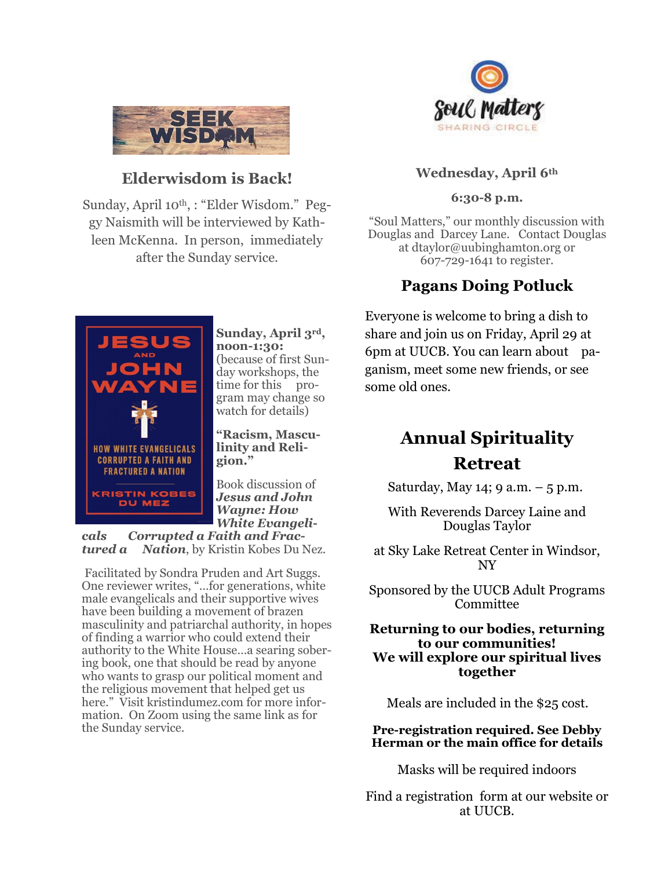

# **Elderwisdom is Back!**

Sunday, April 10th, : "Elder Wisdom." Peggy Naismith will be interviewed by Kathleen McKenna. In person, immediately after the Sunday service.



# **Wednesday, April 6th**

#### **6:30-8 p.m.**

"Soul Matters," our monthly discussion with Douglas and Darcey Lane. Contact Douglas at dtaylor@uubinghamton.org or 607-729-1641 to register.

# **Pagans Doing Potluck**

Everyone is welcome to bring a dish to share and join us on Friday, April 29 at 6pm at UUCB. You can learn about paganism, meet some new friends, or see some old ones.

# **Annual Spirituality Retreat**

Saturday, May 14; 9 a.m.  $-5$  p.m.

With Reverends Darcey Laine and Douglas Taylor

at Sky Lake Retreat Center in Windsor, NY

Sponsored by the UUCB Adult Programs Committee

#### **Returning to our bodies, returning to our communities! We will explore our spiritual lives together**

Meals are included in the \$25 cost.

**Pre-registration required. See Debby Herman or the main office for details**

Masks will be required indoors

Find a registration form at our website or at UUCB.



**Sunday, April 3rd, noon-1:30:**  (because of first Sunday workshops, the time for this program may change so watch for details)

**"Racism, Masculinity and Religion."** 

Book discussion of *Jesus and John Wayne: How White Evangeli-*

*cals Corrupted a Faith and Fractured a Nation*, by Kristin Kobes Du Nez.

Facilitated by Sondra Pruden and Art Suggs. One reviewer writes, "…for generations, white male evangelicals and their supportive wives have been building a movement of brazen masculinity and patriarchal authority, in hopes of finding a warrior who could extend their authority to the White House…a searing sobering book, one that should be read by anyone who wants to grasp our political moment and the religious movement that helped get us here." Visit kristindumez.com for more information. On Zoom using the same link as for the Sunday service.